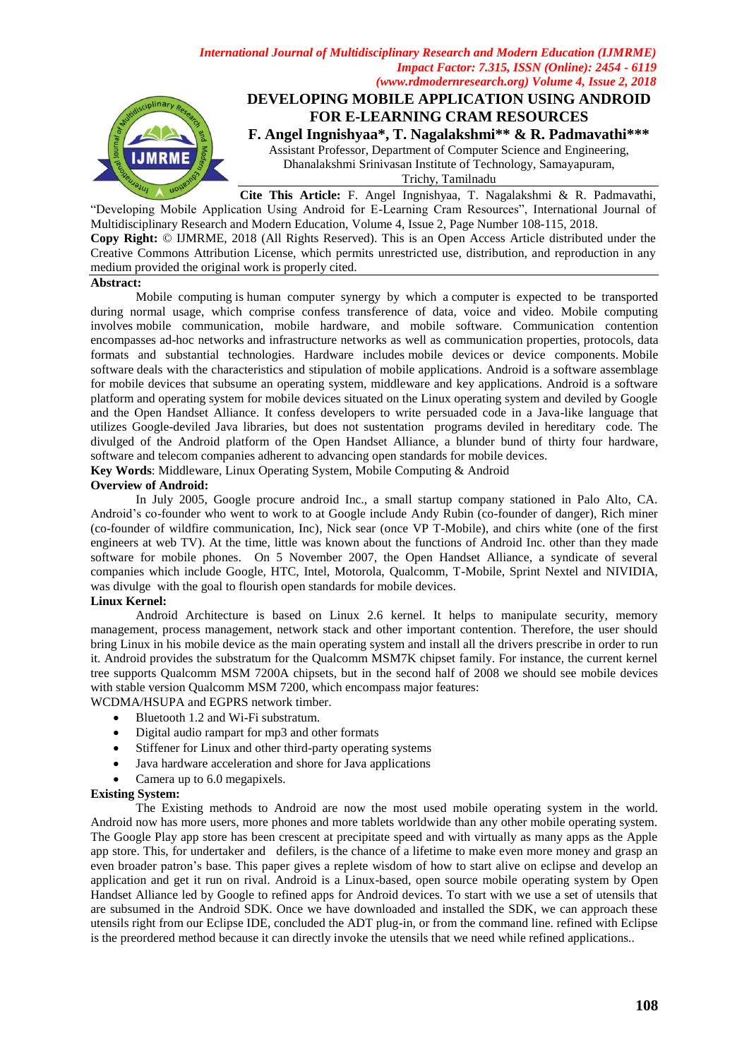

"Developing Mobile Application Using Android for E-Learning Cram Resources", International Journal of Multidisciplinary Research and Modern Education, Volume 4, Issue 2, Page Number 108-115, 2018. **Copy Right:** © IJMRME, 2018 (All Rights Reserved). This is an Open Access Article distributed under the Creative Commons Attribution License, which permits unrestricted use, distribution, and reproduction in any medium provided the original work is properly cited.

#### **Abstract:**

Mobile computing is human computer synergy by which a [computer](https://en.wikipedia.org/wiki/Computer) is expected to be transported during normal usage, which comprise confess transference of data, voice and video. Mobile computing involves [mobile communication,](https://en.wikipedia.org/wiki/Mobile_communication) mobile hardware, and mobile software. Communication contention encompasses [ad-hoc networks](https://en.wikipedia.org/wiki/Mobile_ad_hoc_network) and infrastructure networks as well as communication properties, [protocols,](https://en.wikipedia.org/wiki/Communications_protocol) data formats and substantial technologies. Hardware includes [mobile devices](https://en.wikipedia.org/wiki/Mobile_device) or device components. [Mobile](https://en.wikipedia.org/wiki/Mobile_software)  [software](https://en.wikipedia.org/wiki/Mobile_software) deals with the characteristics and stipulation of mobile applications. Android is a software assemblage for mobile devices that subsume an operating system, middleware and key applications. Android is a software platform and operating system for mobile devices situated on the Linux operating system and deviled by Google and the Open Handset Alliance. It confess developers to write persuaded code in a Java-like language that utilizes Google-deviled Java libraries, but does not sustentation programs deviled in hereditary code. The divulged of the Android platform of the Open Handset Alliance, a blunder bund of thirty four hardware, software and telecom companies adherent to advancing open standards for mobile devices.

**Key Words**: Middleware, Linux Operating System, Mobile Computing & Android

#### **Overview of Android:**

In July 2005, Google procure android Inc., a small startup company stationed in Palo Alto, CA. Android's co-founder who went to work to at Google include Andy Rubin (co-founder of danger), Rich miner (co-founder of wildfire communication, Inc), Nick sear (once VP T-Mobile), and chirs white (one of the first engineers at web TV). At the time, little was known about the functions of Android Inc. other than they made software for mobile phones. On 5 November 2007, the Open Handset Alliance, a syndicate of several companies which include Google, HTC, Intel, Motorola, Qualcomm, T-Mobile, Sprint Nextel and NIVIDIA, was divulge with the goal to flourish open standards for mobile devices.

# **Linux Kernel:**

Android Architecture is based on Linux 2.6 kernel. It helps to manipulate security, memory management, process management, network stack and other important contention. Therefore, the user should bring Linux in his mobile device as the main operating system and install all the drivers prescribe in order to run it. Android provides the substratum for the Qualcomm MSM7K chipset family. For instance, the current kernel tree supports Qualcomm MSM 7200A chipsets, but in the second half of 2008 we should see mobile devices with stable version Qualcomm MSM 7200, which encompass major features:

### WCDMA/HSUPA and EGPRS network timber.

- Bluetooth 1.2 and Wi-Fi substratum.
- Digital audio rampart for mp3 and other formats
- Stiffener for Linux and other third-party operating systems
- Java hardware acceleration and shore for Java applications
- Camera up to 6.0 megapixels.

#### **Existing System:**

The Existing methods to Android are now the most used mobile operating system in the world. Android now has more users, more phones and more tablets worldwide than any other mobile operating system. The Google Play app store has been crescent at precipitate speed and with virtually as many apps as the Apple app store. This, for undertaker and defilers, is the chance of a lifetime to make even more money and grasp an even broader patron's base. This paper gives a replete wisdom of how to start alive on eclipse and develop an application and get it run on rival. Android is a Linux-based, open source mobile operating system by Open Handset Alliance led by Google to refined apps for Android devices. To start with we use a set of utensils that are subsumed in the Android SDK. Once we have downloaded and installed the SDK, we can approach these utensils right from our Eclipse IDE, concluded the ADT plug-in, or from the command line. refined with Eclipse is the preordered method because it can directly invoke the utensils that we need while refined applications..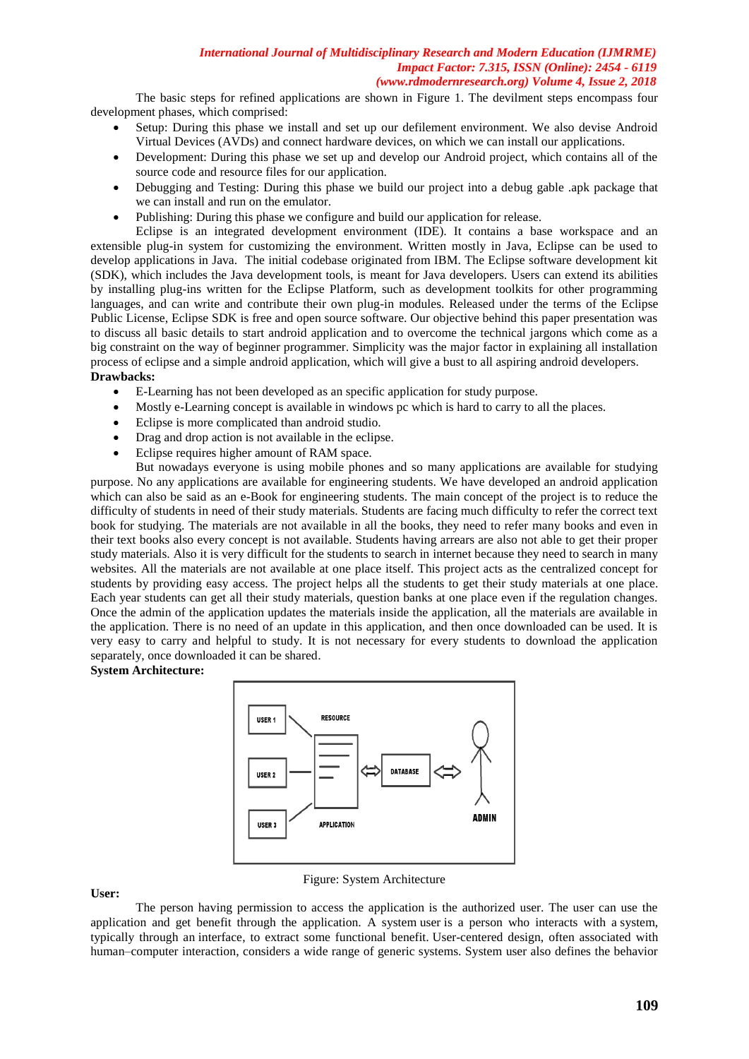The basic steps for refined applications are shown in Figure 1. The devilment steps encompass four development phases, which comprised:

- Setup: During this phase we install and set up our defilement environment. We also devise Android Virtual Devices (AVDs) and connect hardware devices, on which we can install our applications.
- Development: During this phase we set up and develop our Android project, which contains all of the source code and resource files for our application.
- Debugging and Testing: During this phase we build our project into a debug gable .apk package that we can install and run on the emulator.
- Publishing: During this phase we configure and build our application for release.

Eclipse is an integrated development environment (IDE). It contains a base workspace and an extensible plug-in system for customizing the environment. Written mostly in Java, Eclipse can be used to develop applications in Java. The initial codebase originated from IBM. The Eclipse software development kit (SDK), which includes the Java development tools, is meant for Java developers. Users can extend its abilities by installing plug-ins written for the Eclipse Platform, such as development toolkits for other programming languages, and can write and contribute their own plug-in modules. Released under the terms of the Eclipse Public License, Eclipse SDK is free and open source software. Our objective behind this paper presentation was to discuss all basic details to start android application and to overcome the technical jargons which come as a big constraint on the way of beginner programmer. Simplicity was the major factor in explaining all installation process of eclipse and a simple android application, which will give a bust to all aspiring android developers. **Drawbacks:** 

- E-Learning has not been developed as an specific application for study purpose.
- Mostly e-Learning concept is available in windows pc which is hard to carry to all the places.
- Eclipse is more complicated than android studio.
- Drag and drop action is not available in the eclipse.
- Eclipse requires higher amount of RAM space.

But nowadays everyone is using mobile phones and so many applications are available for studying purpose. No any applications are available for engineering students. We have developed an android application which can also be said as an e-Book for engineering students. The main concept of the project is to reduce the difficulty of students in need of their study materials. Students are facing much difficulty to refer the correct text book for studying. The materials are not available in all the books, they need to refer many books and even in their text books also every concept is not available. Students having arrears are also not able to get their proper study materials. Also it is very difficult for the students to search in internet because they need to search in many websites. All the materials are not available at one place itself. This project acts as the centralized concept for students by providing easy access. The project helps all the students to get their study materials at one place. Each year students can get all their study materials, question banks at one place even if the regulation changes. Once the admin of the application updates the materials inside the application, all the materials are available in the application. There is no need of an update in this application, and then once downloaded can be used. It is very easy to carry and helpful to study. It is not necessary for every students to download the application separately, once downloaded it can be shared.

#### **System Architecture:**



#### **User:**

The person having permission to access the application is the authorized user. The user can use the application and get benefit through the application. A system user is a person who interacts with a [system,](https://en.wikipedia.org/wiki/System) typically through an [interface,](https://en.wikipedia.org/wiki/User_interface) to extract some functional benefit. [User-centered design,](https://en.wikipedia.org/wiki/User-centered_design) often associated with [human–computer interaction,](https://en.wikipedia.org/wiki/Human%E2%80%93computer_interaction) considers a wide range of generic systems. System user also defines the behavior

Figure: System Architecture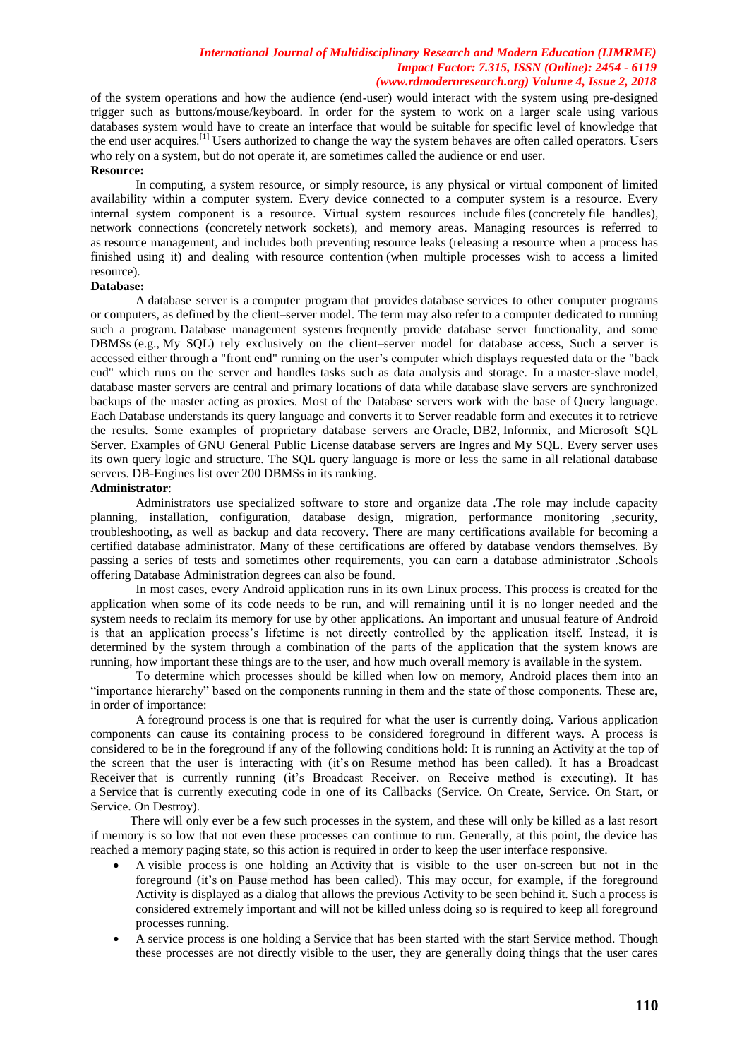of the system operations and how the audience (end-user) would interact with the system using pre-designed trigger such as buttons/mouse/keyboard. In order for the system to work on a larger scale using various databases system would have to create an interface that would be suitable for specific level of knowledge that the end user acquires.<sup>[\[1\]](https://en.wikipedia.org/wiki/User_(system)#cite_note-1)</sup> Users authorized to change the way the system behaves are often called [operators.](https://en.wikipedia.org/wiki/Computer_operator) Users who rely on a system, but do not operate it, are sometimes called the [audience](https://en.wikipedia.org/wiki/Audience) or [end user.](https://en.wikipedia.org/wiki/End_user)

#### **Resource:**

In [computing,](https://en.wikipedia.org/wiki/Computing) a system resource, or simply resource, is any physical or virtual component of limited availability within a computer system. Every device connected to a computer system is a resource. Every internal system component is a resource. Virtual system resources include [files](https://en.wikipedia.org/wiki/Computer_file) (concretely [file handles\)](https://en.wikipedia.org/wiki/File_handle), network connections (concretely [network sockets\)](https://en.wikipedia.org/wiki/Network_socket), and memory areas. Managing resources is referred to as [resource management,](https://en.wikipedia.org/wiki/Resource_management_(computing)) and includes both preventing [resource leaks](https://en.wikipedia.org/wiki/Resource_leak) (releasing a resource when a process has finished using it) and dealing with [resource contention](https://en.wikipedia.org/wiki/Resource_contention) (when multiple processes wish to access a limited resource).

## **Database:**

A database server is a [computer program](https://en.wikipedia.org/wiki/Computer_program) that provides [database](https://en.wikipedia.org/wiki/Database) services to other computer programs or [computers,](https://en.wikipedia.org/wiki/Computer) as defined by the [client–server](https://en.wikipedia.org/wiki/Client%E2%80%93server) [model.](https://en.wikipedia.org/wiki/Software_modeling) The term may also refer to a computer dedicated to running such a program. [Database management systems](https://en.wikipedia.org/wiki/Database_management_system) frequently provide database server functionality, and some [DBMSs](https://en.wikipedia.org/wiki/Database_management_system) (e.g., [My SQL\)](https://en.wikipedia.org/wiki/MySQL) rely exclusively on the client–server model for database access, Such a server is accessed either through a ["front end"](https://en.wikipedia.org/wiki/Front_and_back_ends) running on the user's computer which displays requested data or the ["back](https://en.wikipedia.org/wiki/Front_and_back_ends)  [end"](https://en.wikipedia.org/wiki/Front_and_back_ends) which runs on the server and handles tasks such as data analysis and storage. In a [master-slave](https://en.wikipedia.org/wiki/Master-slave_(technology)) model, database master servers are central and primary locations of data while database slave servers are synchronized backups of the master acting as [proxies.](https://en.wikipedia.org/wiki/Proxy_server) Most of the Database servers work with the base of [Query language.](https://en.wikipedia.org/wiki/Query_language) Each Database understands its query language and converts it to Server readable form and executes it to retrieve the results. Some examples of proprietary database servers are [Oracle,](https://en.wikipedia.org/wiki/Oracle_Database) [DB2,](https://en.wikipedia.org/wiki/IBM_DB2) [Informix,](https://en.wikipedia.org/wiki/Informix) and [Microsoft SQL](https://en.wikipedia.org/wiki/Microsoft_SQL_Server)  [Server.](https://en.wikipedia.org/wiki/Microsoft_SQL_Server) Examples of [GNU General Public License](https://en.wikipedia.org/wiki/GNU_General_Public_Licence) database servers are [Ingres](https://en.wikipedia.org/wiki/Ingres_(database)) and [My SQL.](https://en.wikipedia.org/wiki/MySQL) Every server uses its own query logic and structure. The SQL query language is more or less the same in all relational database servers. DB-Engines list over 200 DBMSs in its ranking.

# **Administrator**:

Administrators use specialized software to store and organize data .The role may include capacity planning, installation, configuration, database design, migration, performance monitoring ,security, troubleshooting, as well as backup and data recovery. There are many certifications available for becoming a certified database administrator. Many of these certifications are offered by database vendors themselves. By passing a series of tests and sometimes other requirements, you can earn a database administrator .Schools offering Database Administration degrees can also be found.

In most cases, every Android application runs in its own Linux process. This process is created for the application when some of its code needs to be run, and will remaining until it is no longer needed and the system needs to reclaim its memory for use by other applications. An important and unusual feature of Android is that an application process's lifetime is not directly controlled by the application itself. Instead, it is determined by the system through a combination of the parts of the application that the system knows are running, how important these things are to the user, and how much overall memory is available in the system.

To determine which processes should be killed when low on memory, Android places them into an "importance hierarchy" based on the components running in them and the state of those components. These are, in order of importance:

A foreground process is one that is required for what the user is currently doing. Various application components can cause its containing process to be considered foreground in different ways. A process is considered to be in the foreground if any of the following conditions hold: It is running an Activity at the top of the screen that the user is interacting with (it's on [Resume m](http://developer.android.com/reference/android/app/Activity.html#onResume())ethod has been called). It has a [Broadcast](http://developer.android.com/reference/android/content/BroadcastReceiver.html)  [Receiver](http://developer.android.com/reference/android/content/BroadcastReceiver.html) that is currently running (it's Broadcast Receiver. on Receive method is executing). It has a [Service](http://developer.android.com/reference/android/app/Service.html) that is currently executing code in one of its Callbacks (Service. On Create, Service. On Start, or Service. On Destroy).

There will only ever be a few such processes in the system, and these will only be killed as a last resort if memory is so low that not even these processes can continue to run. Generally, at this point, the device has reached a memory paging state, so this action is required in order to keep the user interface responsive.

- A visible process is one holding an [Activity](http://developer.android.com/reference/android/app/Activity.html) that is visible to the user on-screen but not in the foreground (it's [on Pause](http://developer.android.com/reference/android/app/Activity.html#onPause()) method has been called). This may occur, for example, if the foreground Activity is displayed as a dialog that allows the previous Activity to be seen behind it. Such a process is considered extremely important and will not be killed unless doing so is required to keep all foreground processes running.
- A service process is one holding a [Service](http://developer.android.com/reference/android/app/Service.html) that has been started with the [start Service](http://developer.android.com/reference/android/content/Context.html#startService(android.content.Intent)) method. Though these processes are not directly visible to the user, they are generally doing things that the user cares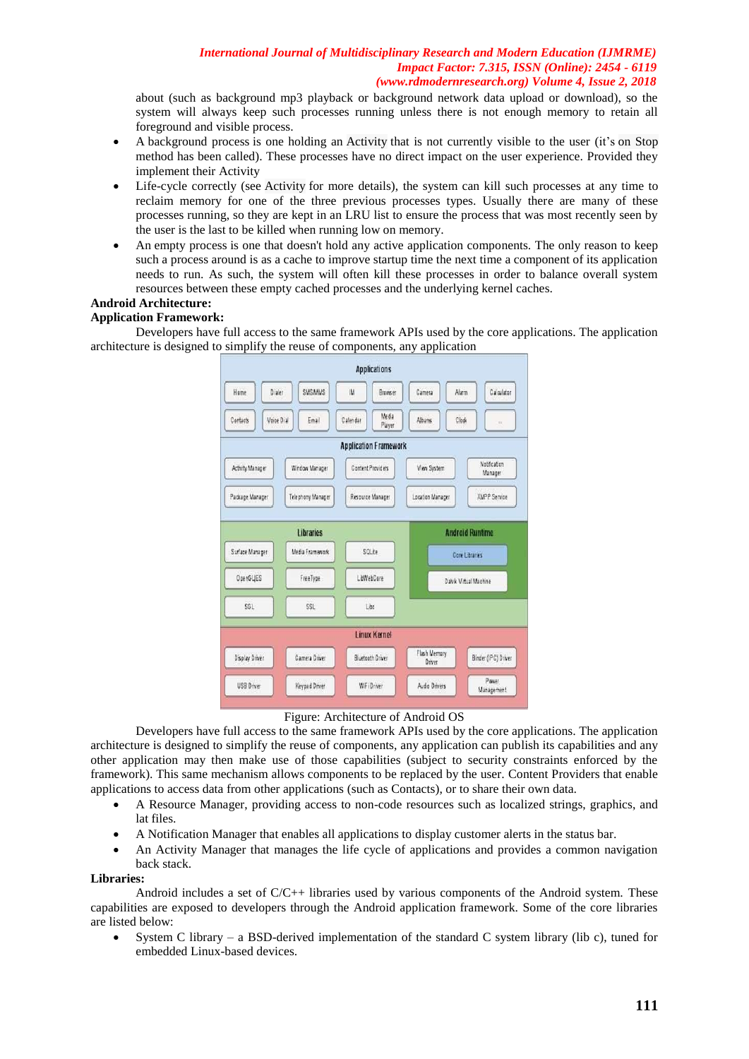about (such as background mp3 playback or background network data upload or download), so the system will always keep such processes running unless there is not enough memory to retain all foreground and visible process.

- A background process is one holding an [Activity](http://developer.android.com/reference/android/app/Activity.html) that is not currently visible to the user (it's on [Stop](http://developer.android.com/reference/android/app/Activity.html#onStop()) method has been called). These processes have no direct impact on the user experience. Provided they implement their Activity
- Life-cycle correctly (see [Activity](http://developer.android.com/reference/android/app/Activity.html) for more details), the system can kill such processes at any time to reclaim memory for one of the three previous processes types. Usually there are many of these processes running, so they are kept in an LRU list to ensure the process that was most recently seen by the user is the last to be killed when running low on memory.
- An empty process is one that doesn't hold any active application components. The only reason to keep such a process around is as a cache to improve startup time the next time a component of its application needs to run. As such, the system will often kill these processes in order to balance overall system resources between these empty cached processes and the underlying kernel caches.

# **Android Architecture:**

### **Application Framework:**

Developers have full access to the same framework APIs used by the core applications. The application architecture is designed to simplify the reuse of components, any application



#### Figure: Architecture of Android OS

Developers have full access to the same framework APIs used by the core applications. The application architecture is designed to simplify the reuse of components, any application can publish its capabilities and any other application may then make use of those capabilities (subject to security constraints enforced by the framework). This same mechanism allows components to be replaced by the user. Content Providers that enable applications to access data from other applications (such as Contacts), or to share their own data.

- A Resource Manager, providing access to non-code resources such as localized strings, graphics, and lat files.
- A Notification Manager that enables all applications to display customer alerts in the status bar.
- An Activity Manager that manages the life cycle of applications and provides a common navigation back stack.

#### **Libraries:**

Android includes a set of  $C/C++$  libraries used by various components of the Android system. These capabilities are exposed to developers through the Android application framework. Some of the core libraries are listed below:

 System C library – a BSD-derived implementation of the standard C system library (lib c), tuned for embedded Linux-based devices.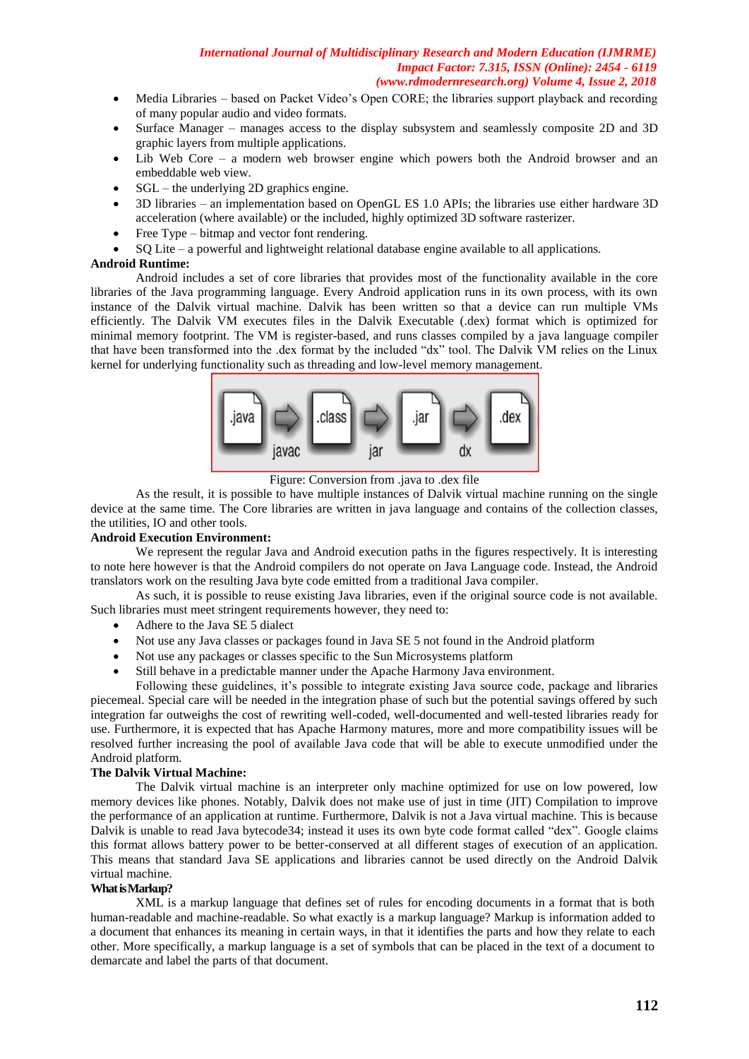- Media Libraries based on Packet Video's Open CORE; the libraries support playback and recording of many popular audio and video formats.
- Surface Manager manages access to the display subsystem and seamlessly composite 2D and 3D graphic layers from multiple applications.
- Lib Web Core a modern web browser engine which powers both the Android browser and an embeddable web view.
- SGL the underlying 2D graphics engine.
- 3D libraries an implementation based on OpenGL ES 1.0 APIs; the libraries use either hardware 3D acceleration (where available) or the included, highly optimized 3D software rasterizer.
- Free Type bitmap and vector font rendering.
- SQ Lite a powerful and lightweight relational database engine available to all applications.

### **Android Runtime:**

Android includes a set of core libraries that provides most of the functionality available in the core libraries of the Java programming language. Every Android application runs in its own process, with its own instance of the Dalvik virtual machine. Dalvik has been written so that a device can run multiple VMs efficiently. The Dalvik VM executes files in the Dalvik Executable (.dex) format which is optimized for minimal memory footprint. The VM is register-based, and runs classes compiled by a java language compiler that have been transformed into the .dex format by the included "dx" tool. The Dalvik VM relies on the Linux kernel for underlying functionality such as threading and low-level memory management.



Figure: Conversion from .java to .dex file

As the result, it is possible to have multiple instances of Dalvik virtual machine running on the single device at the same time. The Core libraries are written in java language and contains of the collection classes, the utilities, IO and other tools.

### **Android Execution Environment:**

We represent the regular Java and Android execution paths in the figures respectively. It is interesting to note here however is that the Android compilers do not operate on Java Language code. Instead, the Android translators work on the resulting Java byte code emitted from a traditional Java compiler.

As such, it is possible to reuse existing Java libraries, even if the original source code is not available. Such libraries must meet stringent requirements however, they need to:

- Adhere to the Java SE 5 dialect
- Not use any Java classes or packages found in Java SE 5 not found in the Android platform
- Not use any packages or classes specific to the Sun Microsystems platform
- Still behave in a predictable manner under the Apache Harmony Java environment.

Following these guidelines, it's possible to integrate existing Java source code, package and libraries piecemeal. Special care will be needed in the integration phase of such but the potential savings offered by such integration far outweighs the cost of rewriting well-coded, well-documented and well-tested libraries ready for use. Furthermore, it is expected that has Apache Harmony matures, more and more compatibility issues will be resolved further increasing the pool of available Java code that will be able to execute unmodified under the Android platform.

### **The Dalvik Virtual Machine:**

The Dalvik virtual machine is an interpreter only machine optimized for use on low powered, low memory devices like phones. Notably, Dalvik does not make use of just in time (JIT) Compilation to improve the performance of an application at runtime. Furthermore, Dalvik is not a Java virtual machine. This is because Dalvik is unable to read Java bytecode34; instead it uses its own byte code format called "dex". Google claims this format allows battery power to be better-conserved at all different stages of execution of an application. This means that standard Java SE applications and libraries cannot be used directly on the Android Dalvik virtual machine.

# **What is Markup?**

XML is a markup language that defines set of rules for encoding documents in a format that is both human-readable and machine-readable. So what exactly is a markup language? Markup is information added to a document that enhances its meaning in certain ways, in that it identifies the parts and how they relate to each other. More specifically, a markup language is a set of symbols that can be placed in the text of a document to demarcate and label the parts of that document.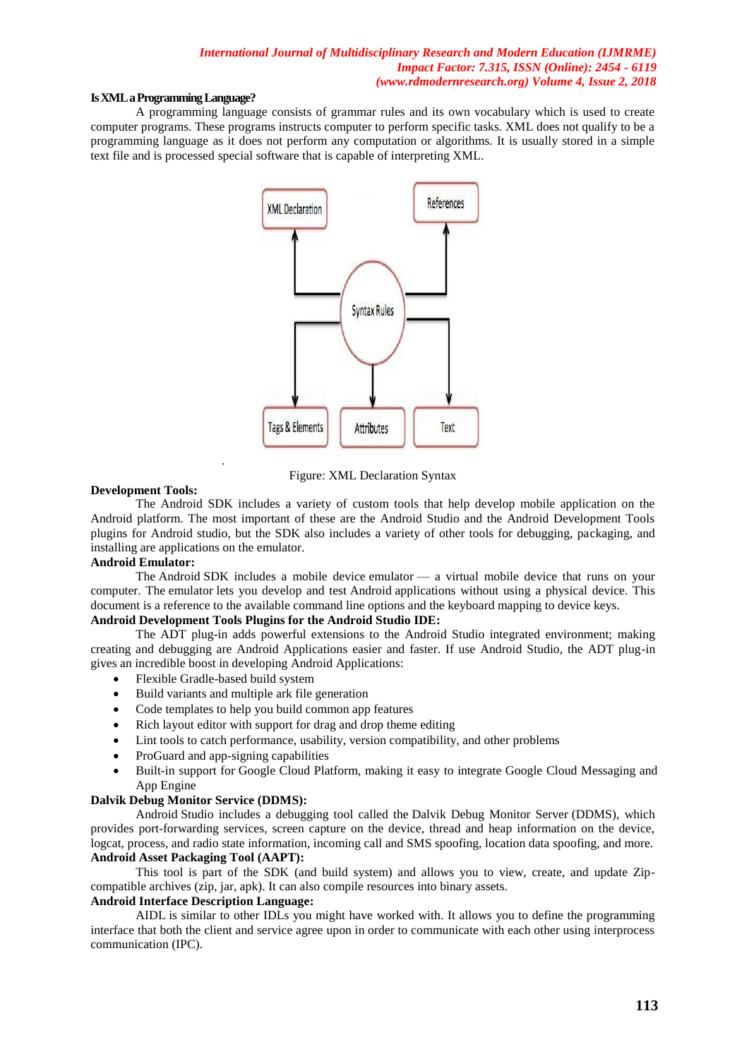#### **Is XMLa Programming Language?**

A programming language consists of grammar rules and its own vocabulary which is used to create computer programs. These programs instructs computer to perform specific tasks. XML does not qualify to be a programming language as it does not perform any computation or algorithms. It is usually stored in a simple text file and is processed special software that is capable of interpreting XML.



Figure: XML Declaration Syntax

### **Development Tools:**

The Android SDK includes a variety of custom tools that help develop mobile application on the Android platform. The most important of these are the Android Studio and the Android Development Tools plugins for Android studio, but the SDK also includes a variety of other tools for debugging, packaging, and installing are applications on the emulator.

# **Android Emulator:**

The Android SDK includes a mobile device emulator — a virtual mobile device that runs on your computer. The emulator lets you develop and test Android applications without using a physical device. This document is a reference to the available command line options and the keyboard mapping to device keys.

# **Android Development Tools Plugins for the Android Studio IDE:**

The ADT plug-in adds powerful extensions to the Android Studio integrated environment; making creating and debugging are Android Applications easier and faster. If use Android Studio, the ADT plug-in gives an incredible boost in developing Android Applications:

Flexible Gradle-based build system

.

- Build variants and multiple ark file generation
- Code templates to help you build common app features
- Rich layout editor with support for drag and drop theme editing
- Lint tools to catch performance, usability, version compatibility, and other problems
- ProGuard and app-signing capabilities
- Built-in support for Google Cloud Platform, making it easy to integrate Google Cloud Messaging and App Engine

# **Dalvik Debug Monitor Service (DDMS):**

Android Studio includes a debugging tool called the Dalvik Debug Monitor Server (DDMS), which provides port-forwarding services, screen capture on the device, thread and heap information on the device, logcat, process, and radio state information, incoming call and SMS spoofing, location data spoofing, and more. **Android Asset Packaging Tool (AAPT):**

This tool is part of the SDK (and build system) and allows you to view, create, and update Zipcompatible archives (zip, jar, apk). It can also compile resources into binary assets.

# **Android Interface Description Language:**

AIDL is similar to other IDLs you might have worked with. It allows you to define the programming interface that both the client and service agree upon in order to communicate with each other using interprocess communication (IPC).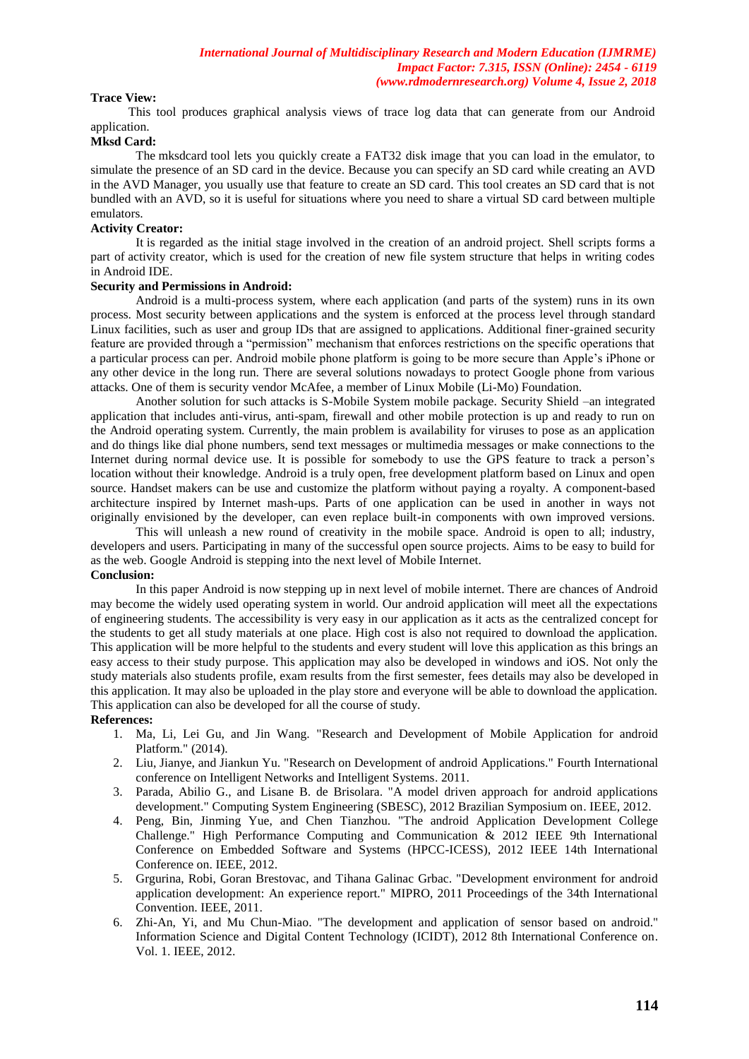# **Trace View:**

 This tool produces graphical analysis views of trace log data that can generate from our Android application.

# **Mksd Card:**

The mksdcard tool lets you quickly create a FAT32 disk image that you can load in the emulator, to simulate the presence of an SD card in the device. Because you can specify an SD card while creating an AVD in the AVD Manager, you usually use that feature to create an SD card. This tool creates an SD card that is not bundled with an AVD, so it is useful for situations where you need to share a virtual SD card between multiple emulators.

### **Activity Creator:**

It is regarded as the initial stage involved in the creation of an android project. Shell scripts forms a part of activity creator, which is used for the creation of new file system structure that helps in writing codes in Android IDE.

# **Security and Permissions in Android:**

Android is a multi-process system, where each application (and parts of the system) runs in its own process. Most security between applications and the system is enforced at the process level through standard Linux facilities, such as user and group IDs that are assigned to applications. Additional finer-grained security feature are provided through a "permission" mechanism that enforces restrictions on the specific operations that a particular process can per. Android mobile phone platform is going to be more secure than Apple's iPhone or any other device in the long run. There are several solutions nowadays to protect Google phone from various attacks. One of them is security vendor McAfee, a member of Linux Mobile (Li-Mo) Foundation.

Another solution for such attacks is S-Mobile System mobile package. Security Shield –an integrated application that includes anti-virus, anti-spam, firewall and other mobile protection is up and ready to run on the Android operating system. Currently, the main problem is availability for viruses to pose as an application and do things like dial phone numbers, send text messages or multimedia messages or make connections to the Internet during normal device use. It is possible for somebody to use the GPS feature to track a person's location without their knowledge. Android is a truly open, free development platform based on Linux and open source. Handset makers can be use and customize the platform without paying a royalty. A component-based architecture inspired by Internet mash-ups. Parts of one application can be used in another in ways not originally envisioned by the developer, can even replace built-in components with own improved versions.

This will unleash a new round of creativity in the mobile space. Android is open to all; industry, developers and users. Participating in many of the successful open source projects. Aims to be easy to build for as the web. Google Android is stepping into the next level of Mobile Internet. **Conclusion:**

# In this paper Android is now stepping up in next level of mobile internet. There are chances of Android may become the widely used operating system in world. Our android application will meet all the expectations of engineering students. The accessibility is very easy in our application as it acts as the centralized concept for the students to get all study materials at one place. High cost is also not required to download the application. This application will be more helpful to the students and every student will love this application as this brings an easy access to their study purpose. This application may also be developed in windows and iOS. Not only the study materials also students profile, exam results from the first semester, fees details may also be developed in this application. It may also be uploaded in the play store and everyone will be able to download the application. This application can also be developed for all the course of study.

#### **References:**

- 1. Ma, Li, Lei Gu, and Jin Wang. "Research and Development of Mobile Application for android Platform." (2014).
- 2. Liu, Jianye, and Jiankun Yu. "Research on Development of android Applications." Fourth International conference on Intelligent Networks and Intelligent Systems. 2011.
- 3. Parada, Abilio G., and Lisane B. de Brisolara. "A model driven approach for android applications development." Computing System Engineering (SBESC), 2012 Brazilian Symposium on. IEEE, 2012.
- 4. Peng, Bin, Jinming Yue, and Chen Tianzhou. "The android Application Development College Challenge." High Performance Computing and Communication & 2012 IEEE 9th International Conference on Embedded Software and Systems (HPCC-ICESS), 2012 IEEE 14th International Conference on. IEEE, 2012.
- 5. Grgurina, Robi, Goran Brestovac, and Tihana Galinac Grbac. "Development environment for android application development: An experience report." MIPRO, 2011 Proceedings of the 34th International Convention. IEEE, 2011.
- 6. Zhi-An, Yi, and Mu Chun-Miao. "The development and application of sensor based on android." Information Science and Digital Content Technology (ICIDT), 2012 8th International Conference on. Vol. 1. IEEE, 2012.